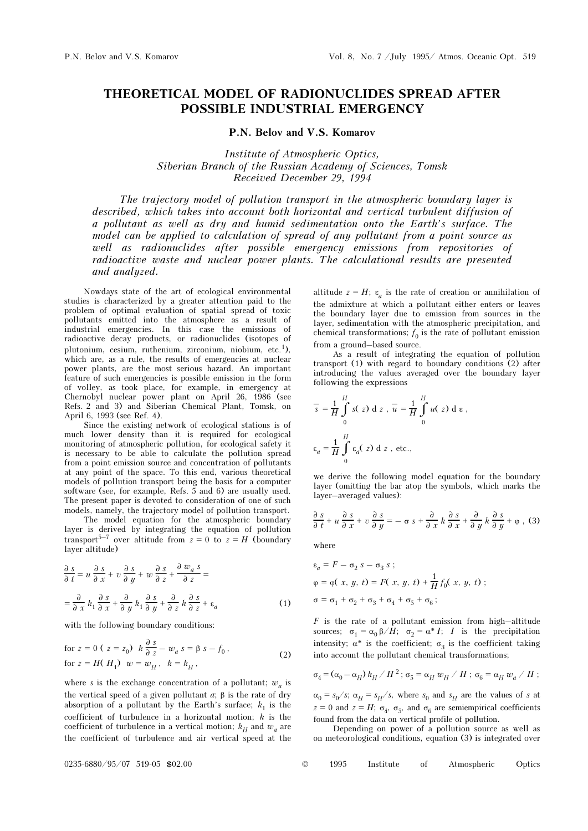# THEORETICAL MODEL OF RADIONUCLIDES SPREAD AFTER POSSIBLE INDUSTRIAL EMERGENCY

# P.N. Belov and V.S. Komarov

Institute of Atmospheric Optics, Siberian Branch of the Russian Academy of Sciences, Tomsk Received December 29, 1994

The trajectory model of pollution transport in the atmospheric boundary layer is described, which takes into account both horizontal and vertical turbulent diffusion of a pollutant as well as dry and humid sedimentation onto the Earth's surface. The model can be applied to calculation of spread of any pollutant from a point source as well as radionuclides after possible emergency emissions from repositories of radioactive waste and nuclear power plants. The calculational results are presented and analyzed.

Nowdays state of the art of ecological environmental studies is characterized by a greater attention paid to the problem of optimal evaluation of spatial spread of toxic pollutants emitted into the atmosphere as a result of industrial emergencies. In this case the emissions of radioactive decay products, or radionuclides (isotopes of plutonium, cesium, ruthenium, zirconium, niobium, etc.1), which are, as a rule, the results of emergencies at nuclear power plants, are the most serious hazard. An important feature of such emergencies is possible emission in the form of volley, as took place, for example, in emergency at Chernobyl nuclear power plant on April 26, 1986 (see Refs. 2 and 3) and Siberian Chemical Plant, Tomsk, on April 6, 1993 (see Ref. 4).

Since the existing network of ecological stations is of much lower density than it is required for ecological monitoring of atmospheric pollution, for ecological safety it is necessary to be able to calculate the pollution spread from a point emission source and concentration of pollutants at any point of the space. To this end, various theoretical models of pollution transport being the basis for a computer software (see, for example, Refs. 5 and 6) are usually used. The present paper is devoted to consideration of one of such models, namely, the trajectory model of pollution transport.

The model equation for the atmospheric boundary layer is derived by integrating the equation of pollution transport<sup>5–7</sup> over altitude from  $z = 0$  to  $z = H$  (boundary layer altitude)

$$
\frac{\partial s}{\partial t} = u \frac{\partial s}{\partial x} + v \frac{\partial s}{\partial y} + w \frac{\partial s}{\partial z} + \frac{\partial w_a s}{\partial z} =
$$
  

$$
= \frac{\partial}{\partial x} k_1 \frac{\partial s}{\partial x} + \frac{\partial}{\partial y} k_1 \frac{\partial s}{\partial y} + \frac{\partial}{\partial z} k \frac{\partial s}{\partial z} + \epsilon_a
$$
 (1)

with the following boundary conditions:

for 
$$
z = 0
$$
 ( $z = z_0$ )  $k \frac{\partial s}{\partial z} - w_a s = \beta s - f_0$ ,  
for  $z = H(H_1)$   $w = w_H$ ,  $k = k_H$ , (2)

where s is the exchange concentration of a pollutant;  $w_a$  is the vertical speed of a given pollutant  $a$ ; β is the rate of dry absorption of a pollutant by the Earth's surface;  $k_1$  is the coefficient of turbulence in a horizontal motion;  $k$  is the coefficient of turbulence in a vertical motion;  $k_H$  and  $w_a$  are the coefficient of turbulence and air vertical speed at the altitude  $z = H$ ;  $\varepsilon_a$  is the rate of creation or annihilation of the admixture at which a pollutant either enters or leaves the boundary layer due to emission from sources in the layer, sedimentation with the atmospheric precipitation, and chemical transformations;  $f_0$  is the rate of pollutant emission from a ground–based source.

As a result of integrating the equation of pollution transport (1) with regard to boundary conditions (2) after introducing the values averaged over the boundary layer following the expressions

$$
\overline{s} = \frac{1}{H} \int_{0}^{H} s(z) dz, \overline{u} = \frac{1}{H} \int_{0}^{H} u(z) dz,
$$
  

$$
\varepsilon_a = \frac{1}{H} \int_{0}^{H} \varepsilon_a(z) dz, \text{ etc.,}
$$

we derive the following model equation for the boundary layer (omitting the bar atop the symbols, which marks the layer–averaged values):

$$
\frac{\partial s}{\partial t} + u \frac{\partial s}{\partial x} + v \frac{\partial s}{\partial y} = -\sigma s + \frac{\partial}{\partial x} k \frac{\partial s}{\partial x} + \frac{\partial}{\partial y} k \frac{\partial s}{\partial y} + \varphi , (3)
$$

where

$$
\varepsilon_a = F - \sigma_2 s - \sigma_3 s ;
$$
  
\n
$$
\varphi = \varphi(x, y, t) = F(x, y, t) + \frac{1}{H} f_0(x, y, t) ;
$$
  
\n
$$
\sigma = \sigma_1 + \sigma_2 + \sigma_3 + \sigma_4 + \sigma_5 + \sigma_6 ;
$$

 $F$  is the rate of a pollutant emission from high-altitude sources;  $\sigma_1 = \alpha_0 \beta / H$ ;  $\sigma_2 = \alpha^* I$ ; *I* is the precipitation intensity;  $\alpha^*$  is the coefficient;  $\sigma_3$  is the coefficient taking into account the pollutant chemical transformations;

$$
\sigma_4^{} = (\alpha_0^{} - \alpha_H^{})\,k_H^{}/\,H^2\,;\,\sigma_5^{} = \alpha_H^{}\,w_H^{}/\,H\,;\,\sigma_6^{} = \alpha_H^{}\,w_a^{}/\,H\,;
$$

 $\alpha_0 = s_0/s$ ;  $\alpha_H = s_H/s$ , where  $s_0$  and  $s_H$  are the values of s at z = 0 and z = H;  $\sigma_A$ ,  $\sigma_5$ , and  $\sigma_6$  are semiempirical coefficients found from the data on vertical profile of pollution.

Depending on power of a pollution source as well as on meteorological conditions, equation (3) is integrated over

 $0.0235 - 6880 / 95 / 07$  519-05 \$02.00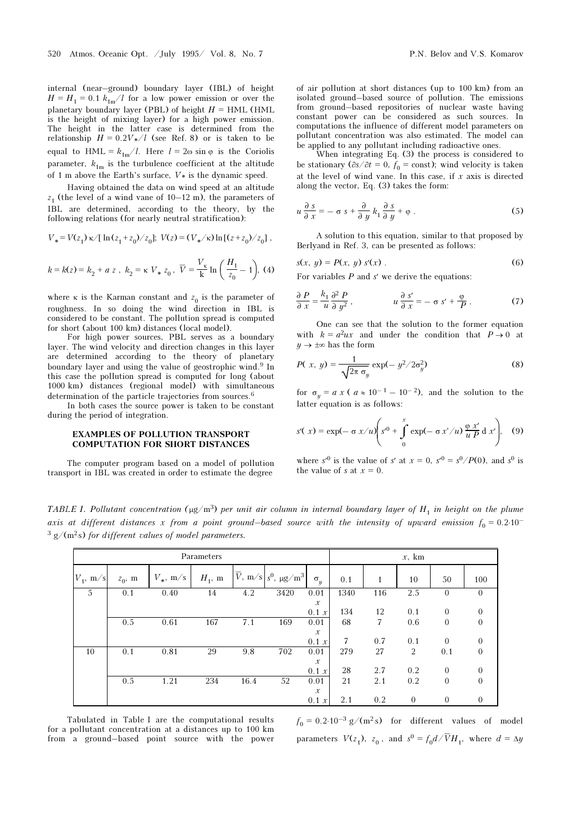internal (near–ground) boundary layer (IBL) of height  $H = H_1 = 0.1 k_{1m}/l$  for a low power emission or over the planetary boundary layer (PBL) of height  $H = HML$  (HML is the height of mixing layer) for a high power emission. The height in the latter case is determined from the relationship  $H = 0.2V*/l$  (see Ref. 8) or is taken to be equal to HML =  $k_{1m}/l$ . Here  $l = 2\omega \sin \varphi$  is the Coriolis parameter,  $k_{1m}$  is the turbulence coefficient at the altitude of 1 m above the Earth's surface,  $V*$  is the dynamic speed.

Having obtained the data on wind speed at an altitude  $z_1$  (the level of a wind vane of 10–12 m), the parameters of IBL are determined, according to the theory, by the following relations (for nearly neutral stratification):

$$
V_* = V(z_1) \kappa / [\ln(z_1 + z_0)/z_0]; \ V(z) = (V_*/\kappa) \ln[(z + z_0)/z_0],
$$
  

$$
V \qquad (H. \quad \Box)
$$

$$
k = k(z) = k_2 + a z
$$
,  $k_2 = \kappa V_* z_0$ ,  $\overline{V} = \frac{V_{\kappa}}{k} \ln \left( \frac{H_1}{z_0} - 1 \right)$ , (4)

where  $\kappa$  is the Karman constant and  $z_0$  is the parameter of roughness. In so doing the wind direction in IBL is considered to be constant. The pollution spread is computed for short (about 100 km) distances (local model).

For high power sources, PBL serves as a boundary layer. The wind velocity and direction changes in this layer are determined according to the theory of planetary boundary layer and using the value of geostrophic wind.<sup>9</sup> In this case the pollution spread is computed for long (about 1000 km) distances (regional model) with simultaneous determination of the particle trajectories from sources.<sup>6</sup>

In both cases the source power is taken to be constant during the period of integration.

### EXAMPLES OF POLLUTION TRANSPORT COMPUTATION FOR SHORT DISTANCES

The computer program based on a model of pollution transport in IBL was created in order to estimate the degree

of air pollution at short distances (up to 100 km) from an isolated ground–based source of pollution. The emissions from ground–based repositories of nuclear waste having constant power can be considered as such sources. In computations the influence of different model parameters on pollutant concentration was also estimated. The model can be applied to any pollutant including radioactive ones.

When integrating Eq. (3) the process is considered to be stationary ( $\partial s/\partial t = 0$ ,  $f_0 = \text{const}$ ); wind velocity is taken at the level of wind vane. In this case, if  $x$  axis is directed along the vector, Eq. (3) takes the form:

$$
u\frac{\partial s}{\partial x} = -\sigma s + \frac{\partial}{\partial y}k_1 \frac{\partial s}{\partial y} + \varphi .
$$
 (5)

A solution to this equation, similar to that proposed by Berlyand in Ref. 3, can be presented as follows:

$$
s(x, y) = P(x, y) s'(x) .
$$
 (6)

For variables  $P$  and  $s'$  we derive the equations:

$$
\frac{\partial P}{\partial x} = \frac{k_1}{u} \frac{\partial^2 P}{\partial y^2}, \qquad u \frac{\partial s'}{\partial x} = -\sigma s' + \frac{\Phi}{P}.
$$
 (7)

One can see that the solution to the former equation with  $k = a^2 u x$  and under the condition that  $P \rightarrow 0$  at  $y \rightarrow \pm \infty$  has the form

$$
P(x, y) = \frac{1}{\sqrt{2\pi \sigma_y}} \exp(-y^2/2\sigma_y^2)
$$
 (8)

for  $\sigma_y = a x$  (  $a \approx 10^{-1} - 10^{-2}$ ), and the solution to the latter equation is as follows:

$$
s'(x) = \exp(-\sigma x/u) \left(s'^0 + \int_0^x \exp(-\sigma x'/u) \frac{\varphi x'}{u P} d x'\right), \quad (9)
$$

where  $s^0$  is the value of s' at  $x = 0$ ,  $s^0 = s^0 / P(0)$ , and  $s^0$  is the value of s at  $x = 0$ .

TABLE I. Pollutant concentration ( $\mu g/m^3$ ) per unit air column in internal boundary layer of H<sub>1</sub> in height on the plume axis at different distances x from a point ground–based source with the intensity of upward emission  $f_0 = 0.2 \cdot 10^{-1}$  $3 g/(m^2s)$  for different values of model parameters.

| Parameters  |           |             |           |      |                                                         |                        | $x$ , km |              |              |                |                |
|-------------|-----------|-------------|-----------|------|---------------------------------------------------------|------------------------|----------|--------------|--------------|----------------|----------------|
| $V_1$ , m/s | $z_0$ , m | $V_*$ , m/s | $H_1$ , m |      | $\overline{V}$ , m/s s <sup>0</sup> , µg/m <sup>3</sup> | $\sigma_{\nu}$         | 0.1      | $\mathbf{1}$ | 10           | 50             | 100            |
| 5           | 0.1       | 0.40        | 14        | 4.2  | 3420                                                    | 0.01                   | 1340     | 116          | 2.5          | $\overline{0}$ | $\overline{0}$ |
|             |           |             |           |      |                                                         | $\mathcal{X}$<br>0.1 x | 134      | 12           | 0.1          | $\Omega$       | $\overline{0}$ |
|             | 0.5       | 0.61        | 167       | 7.1  | 169                                                     | 0.01                   | 68       | 7            | 0.6          | $\theta$       | $\overline{0}$ |
|             |           |             |           |      |                                                         | $\mathcal{X}% _{0}$    |          |              |              |                |                |
|             |           |             |           |      |                                                         | 0.1 x                  | 7        | 0.7          | 0.1          | $\Omega$       | $\overline{0}$ |
| 10          | 0.1       | 0.81        | 29        | 9.8  | 702                                                     | 0.01                   | 279      | 27           | 2            | 0.1            | $\overline{0}$ |
|             |           |             |           |      |                                                         | $\mathcal{X}$          |          |              |              |                |                |
|             |           |             |           |      |                                                         | 0.1 x                  | 28       | 2.7          | 0.2          | $\Omega$       | $\overline{0}$ |
|             | 0.5       | 1.21        | 234       | 16.4 | 52                                                      | 0.01                   | 21       | 2.1          | 0.2          | $\theta$       | $\overline{0}$ |
|             |           |             |           |      |                                                         | $\mathcal{X}$<br>0.1 x | 2.1      | 0.2          | $\mathbf{0}$ | $\theta$       | $\overline{0}$ |

Tabulated in Table I are the computational results for a pollutant concentration at a distances up to 100 km from a ground–based point source with the power  $f_0 = 0.2 \cdot 10^{-3}$  g/(m<sup>2</sup>s) for different values of model parameters  $V(z_1)$ ,  $z_0$ , and  $s^0 = f_0 d / \overline{V} H_1$ , where  $d = \Delta y$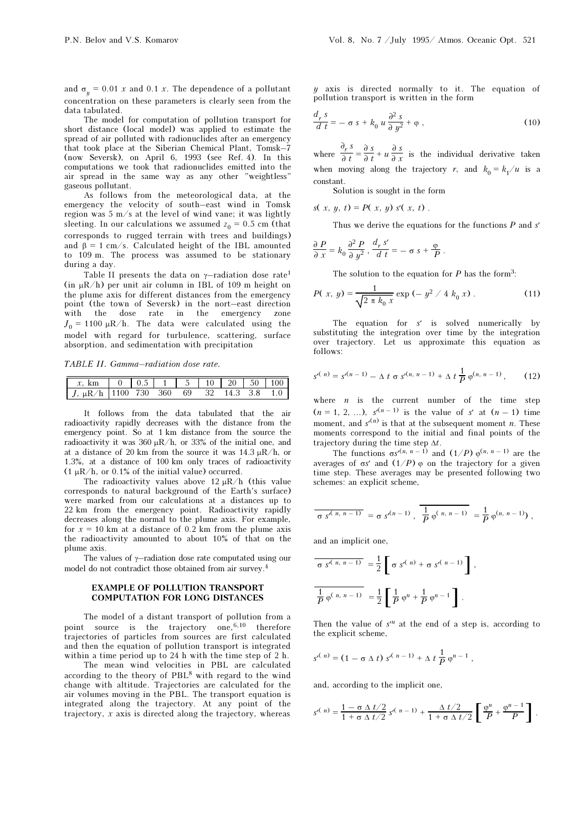and  $\sigma_y = 0.01$  x and 0.1 x. The dependence of a pollutant concentration on these parameters is clearly seen from the data tabulated.

The model for computation of pollution transport for short distance (local model) was applied to estimate the spread of air polluted with radionuclides after an emergency that took place at the Siberian Chemical Plant, Tomsk–7 (now Seversk), on April 6, 1993 (see Ref. 4). In this computations we took that radionuclides emitted into the air spread in the same way as any other "weightless" gaseous pollutant.

As follows from the meteorological data, at the emergency the velocity of south–east wind in Tomsk region was  $5 \text{ m/s}$  at the level of wind vane; it was lightly sleeting. In our calculations we assumed  $z_0 = 0.5$  cm (that corresponds to rugged terrain with trees and buildings) and  $\beta = 1$  cm/s. Calculated height of the IBL amounted to 109 m. The process was assumed to be stationary during a day.

Table II presents the data on  $\gamma$ -radiation dose rate<sup>1</sup> (in  $\mu$ R/h) per unit air column in IBL of 109 m height on the plume axis for different distances from the emergency point (the town of Seversk) in the nort–east direction with the dose rate in the emergency zone  $J_0 = 1100 \mu R/h$ . The data were calculated using the model with regard for turbulence, scattering, surface absorption, and sedimentation with precipitation

TABLE II. Gamma–radiation dose rate.

| $x, km$   0   0.5   1   5   10   20   50   100 |  |  |  |  |
|------------------------------------------------|--|--|--|--|
| $J, \mu R/h$ 1100 730 360 69 32 14.3 3.8 1.0   |  |  |  |  |

It follows from the data tabulated that the air radioactivity rapidly decreases with the distance from the emergency point. So at 1 km distance from the source the radioactivity it was 360  $\mu$ R/h, or 33% of the initial one, and at a distance of 20 km from the source it was  $14.3 \mu R/h$ , or 1.3%, at a distance of 100 km only traces of radioactivity  $(1 \mu R/h, \text{ or } 0.1\% \text{ of the initial value})$  occurred.

The radioactivity values above 12  $\mu$ R/h (this value corresponds to natural background of the Earth's surface) were marked from our calculations at a distances up to 22 km from the emergency point. Radioactivity rapidly decreases along the normal to the plume axis. For example, for  $x = 10$  km at a distance of 0.2 km from the plume axis the radioactivity amounted to about 10% of that on the plume axis.

The values of  $\gamma$ –radiation dose rate computated using our model do not contradict those obtained from air survey.<sup>4</sup>

# EXAMPLE OF POLLUTION TRANSPORT COMPUTATION FOR LONG DISTANCES

The model of a distant transport of pollution from a point source is the trajectory one,6,10 therefore trajectories of particles from sources are first calculated and then the equation of pollution transport is integrated within a time period up to 24 h with the time step of 2 h.

The mean wind velocities in PBL are calculated according to the theory of  $PBL<sup>8</sup>$  with regard to the wind change with altitude. Trajectories are calculated for the air volumes moving in the PBL. The transport equation is integrated along the trajectory. At any point of the trajectory, x axis is directed along the trajectory, whereas

 $y$  axis is directed normally to it. The equation of pollution transport is written in the form

$$
\frac{d_r s}{d t} = - \sigma s + k_0 u \frac{\partial^2 s}{\partial y^2} + \varphi , \qquad (10)
$$

where  $\frac{\partial_r}{\partial x}$  $\frac{\partial_r s}{\partial t} = \frac{\partial_s s}{\partial t} + u \frac{\partial_s s}{\partial x}$  is the individual derivative taken when moving along the trajectory r, and  $k_0 = k_1/u$  is a constant.

Solution is sought in the form

$$
s(x, y, t) = P(x, y) s'(x, t).
$$

Thus we derive the equations for the functions  $P$  and  $s'$ 

$$
\frac{\partial P}{\partial x} = k_0 \frac{\partial^2 P}{\partial y^2}, \frac{d_r s'}{d t} = - \sigma s + \frac{\varphi}{P}.
$$

The solution to the equation for  $P$  has the form<sup>3</sup>:

$$
P(x, y) = \frac{1}{\sqrt{2 \pi k_0 x}} \exp(-y^2 / 4 k_0 x).
$$
 (11)

The equation for s' is solved numerically by substituting the integration over time by the integration over trajectory. Let us approximate this equation as follows:

$$
s^{(n)} = s^{(n-1)} - \Delta t \sigma s^{(n, n-1)} + \Delta t \frac{1}{P} \varphi^{(n, n-1)},
$$
 (12)

where  $n$  is the current number of the time step  $(n = 1, 2, ...)$ ,  $s^{(n-1)}$  is the value of s' at  $(n - 1)$  time moment, and  $s^{(n)}$  is that at the subsequent moment *n*. These moments correspond to the initial and final points of the trajectory during the time step  $\Delta t$ .

The functions  $\sigma s^{(n, n-1)}$  and  $(1/P) \varphi^{(n, n-1)}$  are the averages of σs' and  $(1/P)$  φ on the trajectory for a given time step. These averages may be presented following two schemes: an explicit scheme,

$$
\overline{\sigma s^{n(n, n-1)}} = \sigma s^{n(n-1)}, \overline{\frac{1}{p} \varphi^{(n, n-1)}} = \frac{1}{p} \varphi^{(n, n-1)} ,
$$

and an implicit one,

$$
\frac{}{\sigma \, s^{(n, n-1)}} = \frac{1}{2} \left[ \sigma \, s^{(n)} + \sigma \, s^{(n-1)} \right],
$$
  

$$
\frac{1}{P} \varphi^{(n, n-1)} = \frac{1}{2} \left[ \frac{1}{P} \varphi^n + \frac{1}{P} \varphi^{n-1} \right].
$$

Then the value of  $s<sup>n</sup>$  at the end of a step is, according to the explicit scheme,

$$
s^{(n)} = (1 - \sigma \Delta t) s^{(n-1)} + \Delta t \frac{1}{P} \varphi^{n-1},
$$

and, according to the implicit one,

$$
s^{(n)} = \frac{1 - \sigma \Delta t/2}{1 + \sigma \Delta t/2} s^{(n-1)} + \frac{\Delta t/2}{1 + \sigma \Delta t/2} \left[ \frac{\varphi^n}{P} + \frac{\varphi^{n-1}}{P} \right].
$$